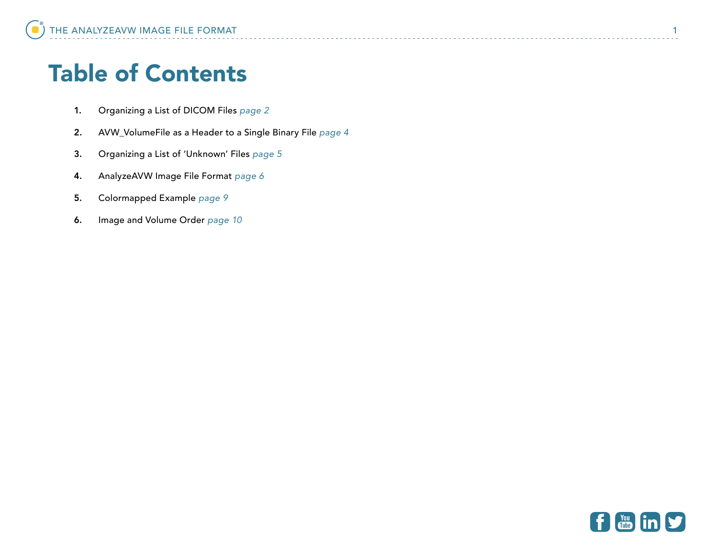# Table of Contents

- 1. Organizing a List of DICOM Files *[page 2](#page-1-0)*
- 2. AVW\_VolumeFile as a Header to a Single Binary File *[page 4](#page-3-0)*
- 3. Organizing a List of 'Unknown' Files *[page 5](#page-4-0)*
- 4. AnalyzeAVW Image File Format *[page 6](#page-5-0)*
- 5. Colormapped Example *[page 9](#page-8-0)*
- 6. Image and Volume Order *[page 10](#page-9-0)*

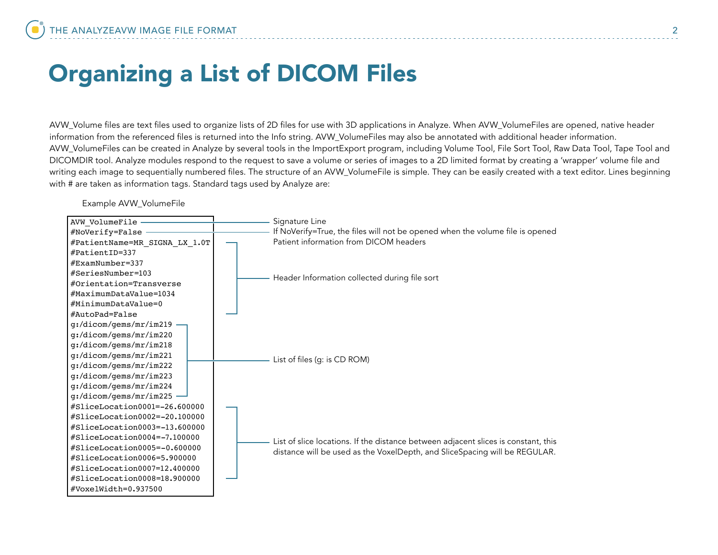# <span id="page-1-0"></span>Organizing a List of DICOM Files

AVW\_Volume files are text files used to organize lists of 2D files for use with 3D applications in Analyze. When AVW\_VolumeFiles are opened, native header information from the referenced files is returned into the Info string. AVW\_VolumeFiles may also be annotated with additional header information. AVW\_VolumeFiles can be created in Analyze by several tools in the ImportExport program, including Volume Tool, File Sort Tool, Raw Data Tool, Tape Tool and DICOMDIR tool. Analyze modules respond to the request to save a volume or series of images to a 2D limited format by creating a 'wrapper' volume file and writing each image to sequentially numbered files. The structure of an AVW\_VolumeFile is simple. They can be easily created with a text editor. Lines beginning with # are taken as information tags. Standard tags used by Analyze are:

Example AVW\_VolumeFile

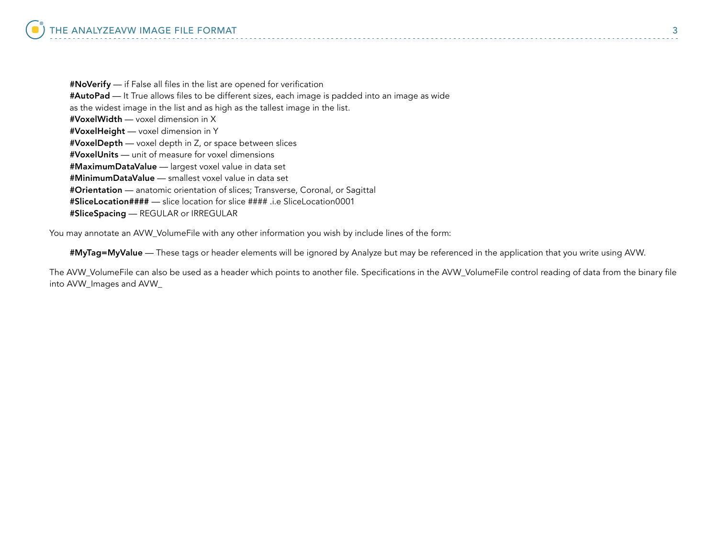#NoVerify — if False all files in the list are opened for verification #AutoPad — It True allows files to be different sizes, each image is padded into an image as wide as the widest image in the list and as high as the tallest image in the list. #VoxelWidth — voxel dimension in X #VoxelHeight — voxel dimension in Y #VoxelDepth — voxel depth in Z, or space between slices #VoxelUnits — unit of measure for voxel dimensions #MaximumDataValue — largest voxel value in data set #MinimumDataValue — smallest voxel value in data set #Orientation — anatomic orientation of slices; Transverse, Coronal, or Sagittal #SliceLocation#### — slice location for slice #### .i.e SliceLocation0001 #SliceSpacing — REGULAR or IRREGULAR

You may annotate an AVW\_VolumeFile with any other information you wish by include lines of the form:

#MyTag=MyValue — These tags or header elements will be ignored by Analyze but may be referenced in the application that you write using AVW.

The AVW\_VolumeFile can also be used as a header which points to another file. Specifications in the AVW\_VolumeFile control reading of data from the binary file into AVW\_Images and AVW\_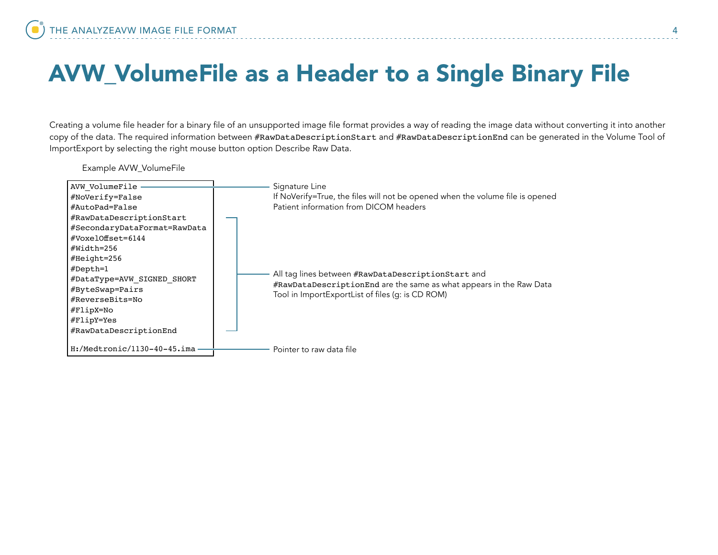# <span id="page-3-0"></span>AVW\_VolumeFile as a Header to a Single Binary File

Creating a volume file header for a binary file of an unsupported image file format provides a way of reading the image data without converting it into another copy of the data. The required information between #RawDataDescriptionStart and #RawDataDescriptionEnd can be generated in the Volume Tool of ImportExport by selecting the right mouse button option Describe Raw Data.

Example AVW\_VolumeFile

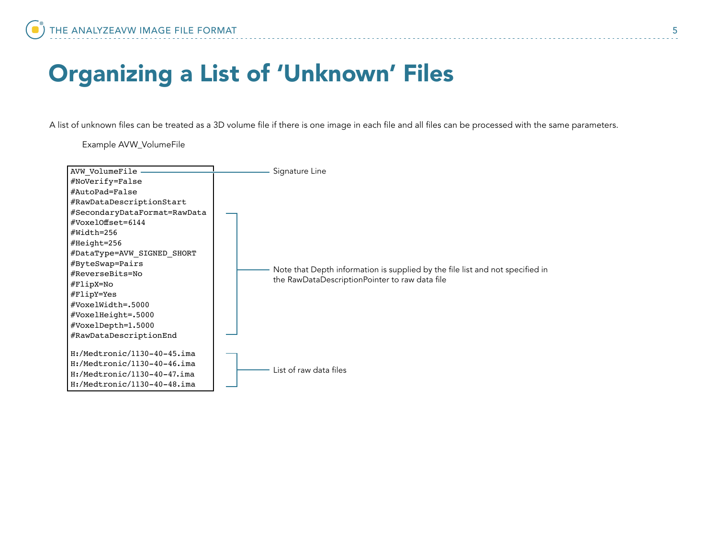# <span id="page-4-0"></span>Organizing a List of 'Unknown' Files

A list of unknown files can be treated as a 3D volume file if there is one image in each file and all files can be processed with the same parameters.

Example AVW\_VolumeFile

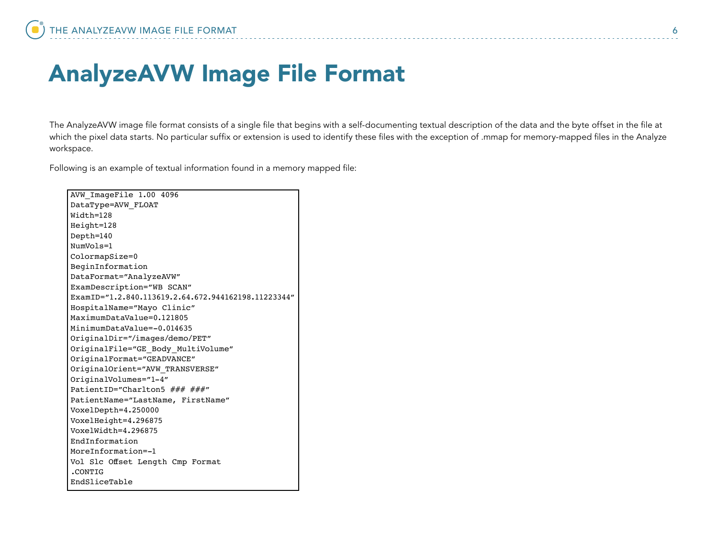### <span id="page-5-0"></span>AnalyzeAVW Image File Format

The AnalyzeAVW image file format consists of a single file that begins with a self-documenting textual description of the data and the byte offset in the file at which the pixel data starts. No particular suffix or extension is used to identify these files with the exception of .mmap for memory-mapped files in the Analyze workspace.

Following is an example of textual information found in a memory mapped file: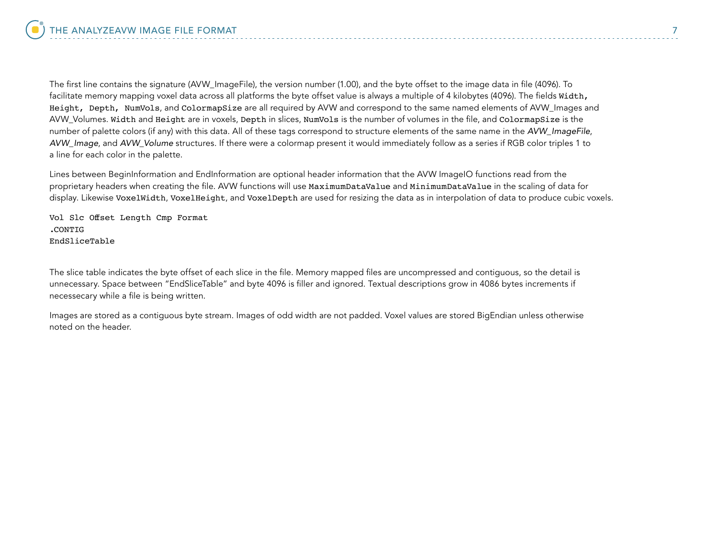The first line contains the signature (AVW\_ImageFile), the version number (1.00), and the byte offset to the image data in file (4096). To facilitate memory mapping voxel data across all platforms the byte offset value is always a multiple of 4 kilobytes (4096). The fields Width, Height, Depth, NumVols, and ColormapSize are all required by AVW and correspond to the same named elements of AVW\_Images and AVW\_Volumes. Width and Height are in voxels, Depth in slices, NumVols is the number of volumes in the file, and ColormapSize is the number of palette colors (if any) with this data. All of these tags correspond to structure elements of the same name in the *AVW\_ImageFile*, *AVW\_Image*, and *AVW\_Volume* structures. If there were a colormap present it would immediately follow as a series if RGB color triples 1 to a line for each color in the palette.

Lines between BeginInformation and EndInformation are optional header information that the AVW ImageIO functions read from the proprietary headers when creating the file. AVW functions will use MaximumDataValue and MinimumDataValue in the scaling of data for display. Likewise VoxelWidth, VoxelHeight, and VoxelDepth are used for resizing the data as in interpolation of data to produce cubic voxels.

Vol Slc Offset Length Cmp Format .CONTIG EndSliceTable

The slice table indicates the byte offset of each slice in the file. Memory mapped files are uncompressed and contiguous, so the detail is unnecessary. Space between "EndSliceTable" and byte 4096 is filler and ignored. Textual descriptions grow in 4086 bytes increments if necessecary while a file is being written.

Images are stored as a contiguous byte stream. Images of odd width are not padded. Voxel values are stored BigEndian unless otherwise noted on the header.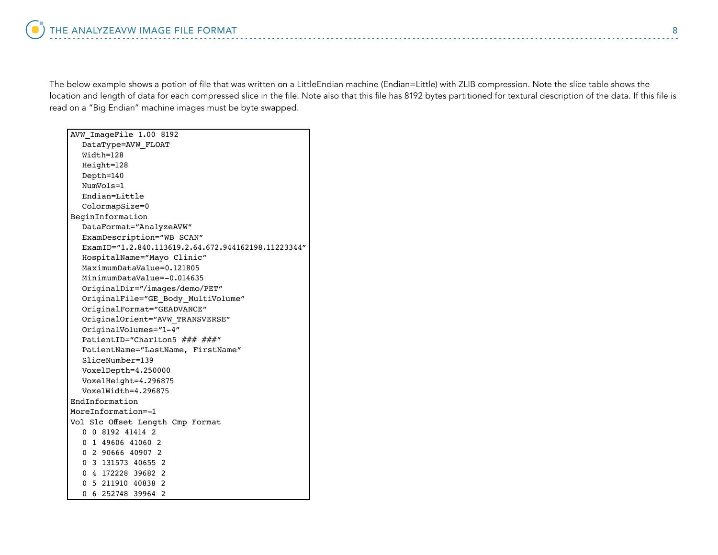The below example shows a potion of file that was written on a LittleEndian machine (Endian=Little) with ZLIB compression. Note the slice table shows the location and length of data for each compressed slice in the file. Note also that this file has 8192 bytes partitioned for textural description of the data. If this file is read on a "Big Endian" machine images must be byte swapped.

| AVW ImageFile 1.00 8192                             |
|-----------------------------------------------------|
| DataType=AVW FLOAT                                  |
| Width=128                                           |
| Height=128                                          |
| Depth=140                                           |
| NumVols=1                                           |
| Endian=Little                                       |
| ColormapSize=0                                      |
| BeginInformation                                    |
| DataFormat="AnalyzeAVW"                             |
| ExamDescription="WB SCAN"                           |
| ExamID="1.2.840.113619.2.64.672.944162198.11223344" |
| HospitalName="Mayo Clinic"                          |
| MaximumDataValue=0.121805                           |
| MinimumDataValue=-0.014635                          |
| OriginalDir="/images/demo/PET"                      |
| OriginalFile="GE Body MultiVolume"                  |
| OriginalFormat="GEADVANCE"                          |
| OriginalOrient="AVW TRANSVERSE"                     |
| OriginalVolumes="1-4"                               |
| PatientID="Charlton5 ### ###"                       |
| PatientName="LastName, FirstName"                   |
| SliceNumber=139                                     |
| VoxelDepth=4.250000                                 |
| VoxelHeight=4.296875                                |
| VoxelWidth=4.296875                                 |
| EndInformation                                      |
| MoreInformation=-1                                  |
| Vol Slc Offset Length Cmp Format                    |
| 0 0 8192 41414 2                                    |
| 0 1 49606 41060 2                                   |
| 0 2 90666 40907 2                                   |
| 0 3 131573 40655 2                                  |
| 0 4 172228 39682 2<br>0 5 211910 40838 2            |
| 6 252748 39964 2<br>0                               |
|                                                     |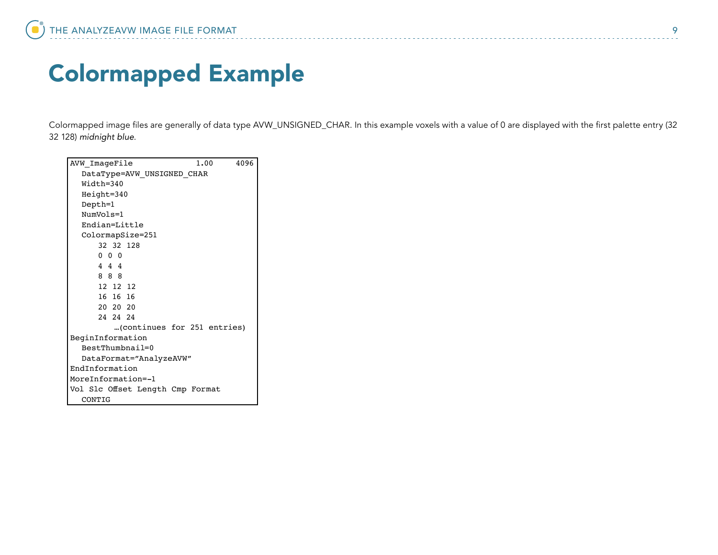# <span id="page-8-0"></span>Colormapped Example

Colormapped image files are generally of data type AVW\_UNSIGNED\_CHAR. In this example voxels with a value of 0 are displayed with the first palette entry (32 32 128) *midnight blue*.

| 4096<br>AVW ImageFile<br>1.00    |
|----------------------------------|
| DataType=AVW_UNSIGNED_CHAR       |
| $Width=340$                      |
| Height=340                       |
| Depth=1                          |
| NumVols=1                        |
| $Endian=Little$                  |
| ColormapSize=251                 |
| 32 32 128                        |
| $0\quad 0\quad 0$                |
| 444                              |
| 8 8 8                            |
| 12 12 12                         |
| 16 16 16                         |
| 20 20 20                         |
| 24 24 24                         |
| (continues for 251 entries)      |
| BeginInformation                 |
| $BestThumbnai]=0$                |
| DataFormat="AnalyzeAVW"          |
| EndInformation                   |
| MoreInformation=-1               |
| Vol Slc Offset Length Cmp Format |
| CONTIG                           |